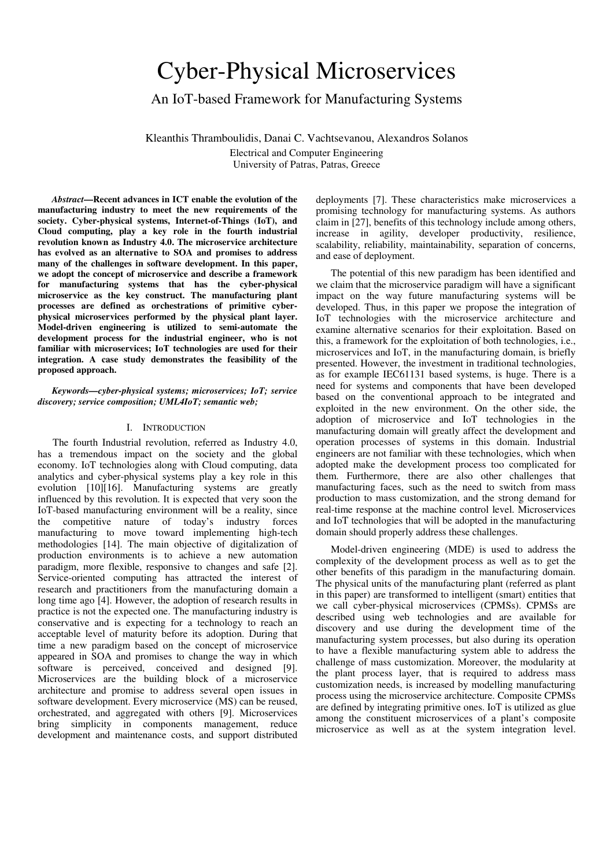# Cyber-Physical Microservices

# An IoT-based Framework for Manufacturing Systems

Kleanthis Thramboulidis, Danai C. Vachtsevanou, Alexandros Solanos Electrical and Computer Engineering University of Patras, Patras, Greece

*Abstract***—Recent advances in ICT enable the evolution of the manufacturing industry to meet the new requirements of the society. Cyber-physical systems, Internet-of-Things (IoT), and Cloud computing, play a key role in the fourth industrial revolution known as Industry 4.0. The microservice architecture has evolved as an alternative to SOA and promises to address many of the challenges in software development. In this paper, we adopt the concept of microservice and describe a framework for manufacturing systems that has the cyber-physical microservice as the key construct. The manufacturing plant processes are defined as orchestrations of primitive cyberphysical microservices performed by the physical plant layer. Model-driven engineering is utilized to semi-automate the development process for the industrial engineer, who is not familiar with microservices; IoT technologies are used for their integration. A case study demonstrates the feasibility of the proposed approach.** 

*Keywords—cyber-physical systems; microservices; IoT; service discovery; service composition; UML4IoT; semantic web;* 

## I. INTRODUCTION

The fourth Industrial revolution, referred as Industry 4.0, has a tremendous impact on the society and the global economy. IoT technologies along with Cloud computing, data analytics and cyber-physical systems play a key role in this evolution [10][16]. Manufacturing systems are greatly influenced by this revolution. Ιt is expected that very soon the IoT-based manufacturing environment will be a reality, since the competitive nature of today's industry forces manufacturing to move toward implementing high-tech methodologies [14]. The main objective of digitalization of production environments is to achieve a new automation paradigm, more flexible, responsive to changes and safe [2]. Service-oriented computing has attracted the interest of research and practitioners from the manufacturing domain a long time ago [4]. However, the adoption of research results in practice is not the expected one. The manufacturing industry is conservative and is expecting for a technology to reach an acceptable level of maturity before its adoption. During that time a new paradigm based on the concept of microservice appeared in SOA and promises to change the way in which software is perceived, conceived and designed [9]. Microservices are the building block of a microservice architecture and promise to address several open issues in software development. Every microservice (MS) can be reused, orchestrated, and aggregated with others [9]. Microservices bring simplicity in components management, reduce development and maintenance costs, and support distributed

deployments [7]. These characteristics make microservices a promising technology for manufacturing systems. As authors claim in [27], benefits of this technology include among others, increase in agility, developer productivity, resilience, scalability, reliability, maintainability, separation of concerns, and ease of deployment.

The potential of this new paradigm has been identified and we claim that the microservice paradigm will have a significant impact on the way future manufacturing systems will be developed. Thus, in this paper we propose the integration of IoT technologies with the microservice architecture and examine alternative scenarios for their exploitation. Based on this, a framework for the exploitation of both technologies, i.e., microservices and IoT, in the manufacturing domain, is briefly presented. However, the investment in traditional technologies, as for example IEC61131 based systems, is huge. There is a need for systems and components that have been developed based on the conventional approach to be integrated and exploited in the new environment. On the other side, the adoption of microservice and IoT technologies in the manufacturing domain will greatly affect the development and operation processes of systems in this domain. Industrial engineers are not familiar with these technologies, which when adopted make the development process too complicated for them. Furthermore, there are also other challenges that manufacturing faces, such as the need to switch from mass production to mass customization, and the strong demand for real-time response at the machine control level. Microservices and IoT technologies that will be adopted in the manufacturing domain should properly address these challenges.

Model-driven engineering (MDE) is used to address the complexity of the development process as well as to get the other benefits of this paradigm in the manufacturing domain. The physical units of the manufacturing plant (referred as plant in this paper) are transformed to intelligent (smart) entities that we call cyber-physical microservices (CPMSs). CPMSs are described using web technologies and are available for discovery and use during the development time of the manufacturing system processes, but also during its operation to have a flexible manufacturing system able to address the challenge of mass customization. Moreover, the modularity at the plant process layer, that is required to address mass customization needs, is increased by modelling manufacturing process using the microservice architecture. Composite CPMSs are defined by integrating primitive ones. IoT is utilized as glue among the constituent microservices of a plant's composite microservice as well as at the system integration level.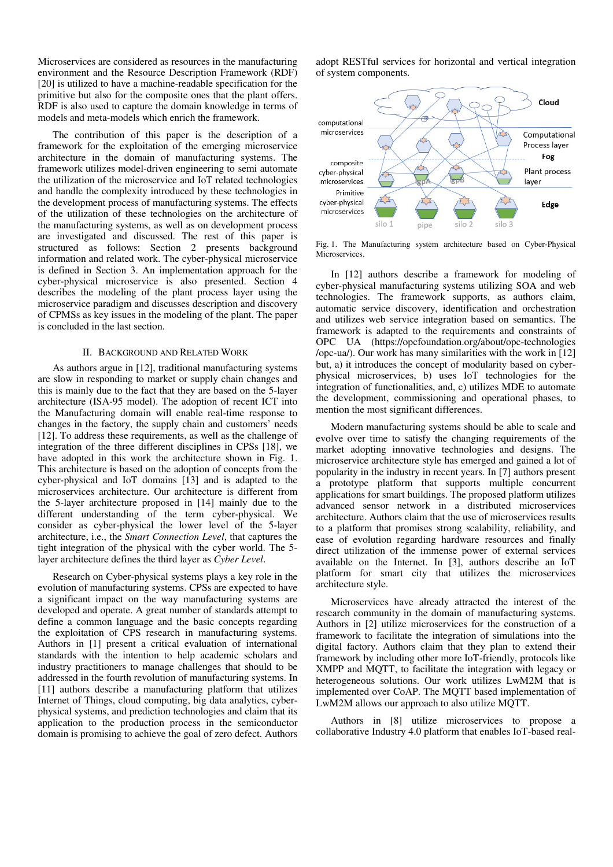Microservices are considered as resources in the manufacturing environment and the Resource Description Framework (RDF) [20] is utilized to have a machine-readable specification for the primitive but also for the composite ones that the plant offers. RDF is also used to capture the domain knowledge in terms of models and meta-models which enrich the framework.

The contribution of this paper is the description of a framework for the exploitation of the emerging microservice architecture in the domain of manufacturing systems. The framework utilizes model-driven engineering to semi automate the utilization of the microservice and IoT related technologies and handle the complexity introduced by these technologies in the development process of manufacturing systems. The effects of the utilization of these technologies on the architecture of the manufacturing systems, as well as on development process are investigated and discussed. The rest of this paper is structured as follows: Section 2 presents background information and related work. The cyber-physical microservice is defined in Section 3. An implementation approach for the cyber-physical microservice is also presented. Section 4 describes the modeling of the plant process layer using the microservice paradigm and discusses description and discovery of CPMSs as key issues in the modeling of the plant. The paper is concluded in the last section.

#### II. BACKGROUND AND RELATED WORK

As authors argue in [12], traditional manufacturing systems are slow in responding to market or supply chain changes and this is mainly due to the fact that they are based on the 5-layer architecture (ISA-95 model). The adoption of recent ICT into the Manufacturing domain will enable real-time response to changes in the factory, the supply chain and customers' needs [12]. To address these requirements, as well as the challenge of integration of the three different disciplines in CPSs [18], we have adopted in this work the architecture shown in Fig. 1. This architecture is based on the adoption of concepts from the cyber-physical and IoT domains [13] and is adapted to the microservices architecture. Our architecture is different from the 5-layer architecture proposed in [14] mainly due to the different understanding of the term cyber-physical. We consider as cyber-physical the lower level of the 5-layer architecture, i.e., the *Smart Connection Level*, that captures the tight integration of the physical with the cyber world. The 5 layer architecture defines the third layer as *Cyber Level*.

Research on Cyber-physical systems plays a key role in the evolution of manufacturing systems. CPSs are expected to have a significant impact on the way manufacturing systems are developed and operate. A great number of standards attempt to define a common language and the basic concepts regarding the exploitation of CPS research in manufacturing systems. Authors in [1] present a critical evaluation of international standards with the intention to help academic scholars and industry practitioners to manage challenges that should to be addressed in the fourth revolution of manufacturing systems. In [11] authors describe a manufacturing platform that utilizes Internet of Things, cloud computing, big data analytics, cyberphysical systems, and prediction technologies and claim that its application to the production process in the semiconductor domain is promising to achieve the goal of zero defect. Authors adopt RESTful services for horizontal and vertical integration of system components.



Fig. 1. The Manufacturing system architecture based on Cyber-Physical Microservices.

In [12] authors describe a framework for modeling of cyber-physical manufacturing systems utilizing SOA and web technologies. The framework supports, as authors claim, automatic service discovery, identification and orchestration and utilizes web service integration based on semantics. The framework is adapted to the requirements and constraints of OPC UA (https://opcfoundation.org/about/opc-technologies /opc-ua/). Our work has many similarities with the work in [12] but, a) it introduces the concept of modularity based on cyberphysical microservices, b) uses IoT technologies for the integration of functionalities, and, c) utilizes MDE to automate the development, commissioning and operational phases, to mention the most significant differences.

Modern manufacturing systems should be able to scale and evolve over time to satisfy the changing requirements of the market adopting innovative technologies and designs. The microservice architecture style has emerged and gained a lot of popularity in the industry in recent years. In [7] authors present a prototype platform that supports multiple concurrent applications for smart buildings. The proposed platform utilizes advanced sensor network in a distributed microservices architecture. Authors claim that the use of microservices results to a platform that promises strong scalability, reliability, and ease of evolution regarding hardware resources and finally direct utilization of the immense power of external services available on the Internet. In [3], authors describe an IoT platform for smart city that utilizes the microservices architecture style.

Microservices have already attracted the interest of the research community in the domain of manufacturing systems. Authors in [2] utilize microservices for the construction of a framework to facilitate the integration of simulations into the digital factory. Authors claim that they plan to extend their framework by including other more IoT-friendly, protocols like XMPP and MQTT, to facilitate the integration with legacy or heterogeneous solutions. Our work utilizes LwM2M that is implemented over CoAP. The MQTT based implementation of LwM2M allows our approach to also utilize MQTT.

Authors in [8] utilize microservices to propose a collaborative Industry 4.0 platform that enables IoT-based real-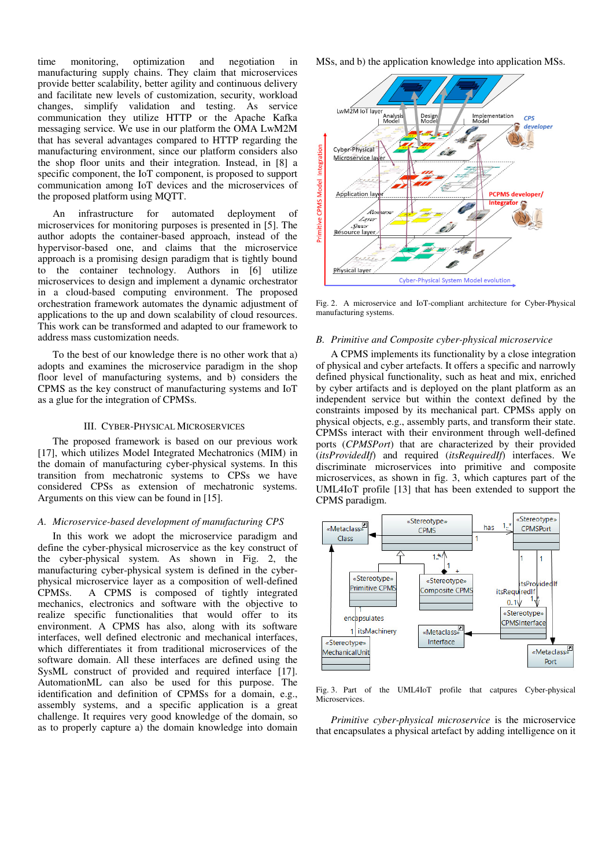time monitoring, optimization and negotiation in manufacturing supply chains. They claim that microservices provide better scalability, better agility and continuous delivery and facilitate new levels of customization, security, workload changes, simplify validation and testing. As service communication they utilize HTTP or the Apache Kafka messaging service. We use in our platform the OMA LwM2M that has several advantages compared to HTTP regarding the manufacturing environment, since our platform considers also the shop floor units and their integration. Instead, in [8] a specific component, the IoT component, is proposed to support communication among IoT devices and the microservices of the proposed platform using MQTT.

An infrastructure for automated deployment of microservices for monitoring purposes is presented in [5]. The author adopts the container-based approach, instead of the hypervisor-based one, and claims that the microservice approach is a promising design paradigm that is tightly bound to the container technology. Authors in [6] utilize microservices to design and implement a dynamic orchestrator in a cloud-based computing environment. The proposed orchestration framework automates the dynamic adjustment of applications to the up and down scalability of cloud resources. This work can be transformed and adapted to our framework to address mass customization needs.

To the best of our knowledge there is no other work that a) adopts and examines the microservice paradigm in the shop floor level of manufacturing systems, and b) considers the CPMS as the key construct of manufacturing systems and IoT as a glue for the integration of CPMSs.

# III. CYBER-PHYSICAL MICROSERVICES

The proposed framework is based on our previous work [17], which utilizes Model Integrated Mechatronics (MIM) in the domain of manufacturing cyber-physical systems. In this transition from mechatronic systems to CPSs we have considered CPSs as extension of mechatronic systems. Arguments on this view can be found in [15].

#### *A. Microservice-based development of manufacturing CPS*

In this work we adopt the microservice paradigm and define the cyber-physical microservice as the key construct of the cyber-physical system. As shown in Fig. 2, the manufacturing cyber-physical system is defined in the cyberphysical microservice layer as a composition of well-defined CPMSs. A CPMS is composed of tightly integrated mechanics, electronics and software with the objective to realize specific functionalities that would offer to its environment. A CPMS has also, along with its software interfaces, well defined electronic and mechanical interfaces, which differentiates it from traditional microservices of the software domain. All these interfaces are defined using the SysML construct of provided and required interface [17]. AutomationML can also be used for this purpose. The identification and definition of CPMSs for a domain, e.g., assembly systems, and a specific application is a great challenge. It requires very good knowledge of the domain, so as to properly capture a) the domain knowledge into domain MSs, and b) the application knowledge into application MSs.



Fig. 2. A microservice and IoT-compliant architecture for Cyber-Physical manufacturing systems.

#### *B. Primitive and Composite cyber-physical microservice*

A CPMS implements its functionality by a close integration of physical and cyber artefacts. It offers a specific and narrowly defined physical functionality, such as heat and mix, enriched by cyber artifacts and is deployed on the plant platform as an independent service but within the context defined by the constraints imposed by its mechanical part. CPMSs apply on physical objects, e.g., assembly parts, and transform their state. CPMSs interact with their environment through well-defined ports (*CPMSPort*) that are characterized by their provided (*itsProvidedIf*) and required (*itsRequiredIf*) interfaces. We discriminate microservices into primitive and composite microservices, as shown in fig. 3, which captures part of the UML4IoT profile [13] that has been extended to support the CPMS paradigm.



Fig. 3. Part of the UML4IoT profile that catpures Cyber-physical Microservices.

*Primitive cyber-physical microservice* is the microservice that encapsulates a physical artefact by adding intelligence on it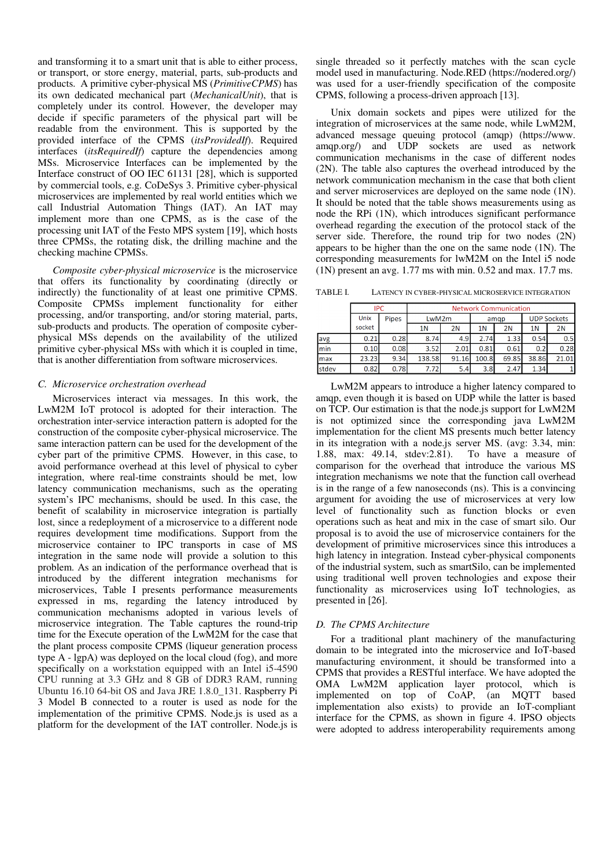and transforming it to a smart unit that is able to either process, or transport, or store energy, material, parts, sub-products and products. A primitive cyber-physical MS (*PrimitiveCPMS*) has its own dedicated mechanical part (*MechanicalUnit*), that is completely under its control. However, the developer may decide if specific parameters of the physical part will be readable from the environment. This is supported by the provided interface of the CPMS (*itsProvidedIf*). Required interfaces (*itsRequiredIf*) capture the dependencies among MSs. Microservice Interfaces can be implemented by the Interface construct of OO IEC 61131 [28], which is supported by commercial tools, e.g. CoDeSys 3. Primitive cyber-physical microservices are implemented by real world entities which we call Industrial Automation Things (IAT). An IAT may implement more than one CPMS, as is the case of the processing unit IAT of the Festo MPS system [19], which hosts three CPMSs, the rotating disk, the drilling machine and the checking machine CPMSs.

*Composite cyber-physical microservice* is the microservice that offers its functionality by coordinating (directly or indirectly) the functionality of at least one primitive CPMS. Composite CPMSs implement functionality for either processing, and/or transporting, and/or storing material, parts, sub-products and products. The operation of composite cyberphysical MSs depends on the availability of the utilized primitive cyber-physical MSs with which it is coupled in time, that is another differentiation from software microservices.

# *C. Microservice orchestration overhead*

Microservices interact via messages. In this work, the LwM2M IoT protocol is adopted for their interaction. The orchestration inter-service interaction pattern is adopted for the construction of the composite cyber-physical microservice. The same interaction pattern can be used for the development of the cyber part of the primitive CPMS. However, in this case, to avoid performance overhead at this level of physical to cyber integration, where real-time constraints should be met, low latency communication mechanisms, such as the operating system's IPC mechanisms, should be used. In this case, the benefit of scalability in microservice integration is partially lost, since a redeployment of a microservice to a different node requires development time modifications. Support from the microservice container to IPC transports in case of MS integration in the same node will provide a solution to this problem. As an indication of the performance overhead that is introduced by the different integration mechanisms for microservices, Table I presents performance measurements expressed in ms, regarding the latency introduced by communication mechanisms adopted in various levels of microservice integration. The Table captures the round-trip time for the Execute operation of the LwM2M for the case that the plant process composite CPMS (liqueur generation process type A - lgpA) was deployed on the local cloud (fog), and more specifically on a workstation equipped with an Intel i5-4590 CPU running at 3.3 GHz and 8 GB of DDR3 RAM, running Ubuntu 16.10 64-bit OS and Java JRE 1.8.0\_131. Raspberry Pi 3 Model B connected to a router is used as node for the implementation of the primitive CPMS. Node.js is used as a platform for the development of the IAT controller. Node.js is

single threaded so it perfectly matches with the scan cycle model used in manufacturing. Node.RED (https://nodered.org/) was used for a user-friendly specification of the composite CPMS, following a process-driven approach [13].

Unix domain sockets and pipes were utilized for the integration of microservices at the same node, while LwM2M, advanced message queuing protocol (amqp) (https://www. amqp.org/) and UDP sockets are used as network communication mechanisms in the case of different nodes (2N). The table also captures the overhead introduced by the network communication mechanism in the case that both client and server microservices are deployed on the same node (1N). It should be noted that the table shows measurements using as node the RPi (1N), which introduces significant performance overhead regarding the execution of the protocol stack of the server side. Therefore, the round trip for two nodes (2N) appears to be higher than the one on the same node (1N). The corresponding measurements for lwM2M on the Intel i5 node (1N) present an avg. 1.77 ms with min. 0.52 and max. 17.7 ms.

| TABLE I. | LATENCY IN CYBER-PHYSICAL MICROSERVICE INTEGRATION |
|----------|----------------------------------------------------|
|----------|----------------------------------------------------|

|       |        | <b>IPC</b>   |                | <b>Network Communication</b> |       |       |                    |       |  |  |
|-------|--------|--------------|----------------|------------------------------|-------|-------|--------------------|-------|--|--|
|       | Unix   | <b>Pipes</b> | LwM2m          |                              | amgp  |       | <b>UDP Sockets</b> |       |  |  |
|       | socket |              | 1 <sup>N</sup> | 2N                           | 1N    | 2N    | 1N                 | 2N    |  |  |
| avg   | 0.21   | 0.28         | 8.74           | 4.9                          | 2.74  | 1.33  | 0.54               | 0.5   |  |  |
| min   | 0.10   | 0.08         | 3.52           | 2.01                         | 0.81  | 0.61  | 0.2                | 0.28  |  |  |
| max   | 23.23  | 9.34         | 138.58         | 91.16                        | 100.8 | 69.85 | 38.86              | 21.01 |  |  |
| stdev | 0.82   | 0.78         | 7.72           | 5.4                          | 3.8   | 2.47  | 1.34               |       |  |  |

 LwM2M appears to introduce a higher latency compared to amqp, even though it is based on UDP while the latter is based on TCP. Our estimation is that the node.js support for LwM2M is not optimized since the corresponding java LwM2M implementation for the client MS presents much better latency in its integration with a node.js server MS. (avg: 3.34, min: 1.88, max: 49.14, stdev:2.81). To have a measure of comparison for the overhead that introduce the various MS integration mechanisms we note that the function call overhead is in the range of a few nanoseconds (ns). This is a convincing argument for avoiding the use of microservices at very low level of functionality such as function blocks or even operations such as heat and mix in the case of smart silo. Our proposal is to avoid the use of microservice containers for the development of primitive microservices since this introduces a high latency in integration. Instead cyber-physical components of the industrial system, such as smartSilo, can be implemented using traditional well proven technologies and expose their functionality as microservices using IoT technologies, as presented in [26].

# *D. The CPMS Architecture*

For a traditional plant machinery of the manufacturing domain to be integrated into the microservice and IoT-based manufacturing environment, it should be transformed into a CPMS that provides a RESTful interface. We have adopted the OMA LwM2M application layer protocol, which is implemented on top of CoAP, (an MQTT based implementation also exists) to provide an IoT-compliant interface for the CPMS, as shown in figure 4. IPSO objects were adopted to address interoperability requirements among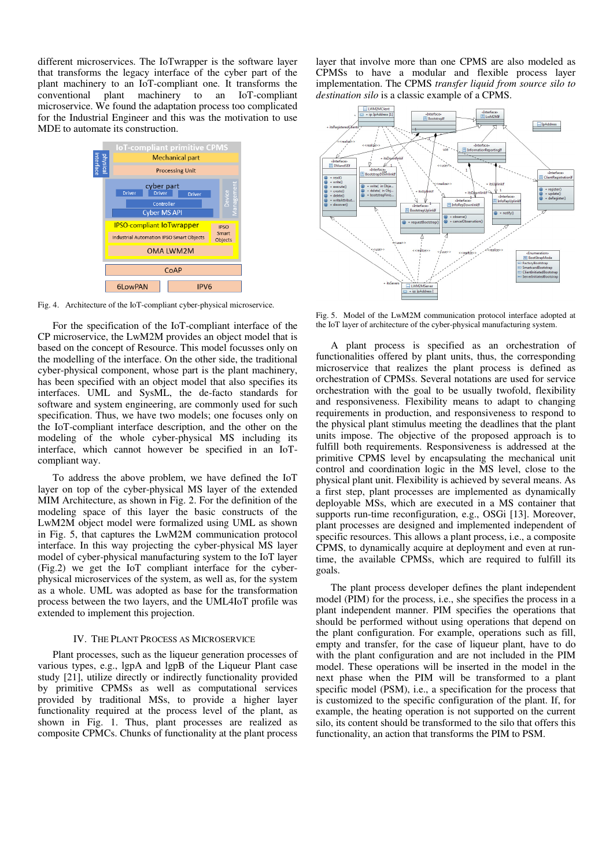different microservices. The IoTwrapper is the software layer that transforms the legacy interface of the cyber part of the plant machinery to an IoT-compliant one. It transforms the conventional plant machinery to an IoT-compliant microservice. We found the adaptation process too complicated for the Industrial Engineer and this was the motivation to use MDE to automate its construction.



Fig. 4. Architecture of the IoT-compliant cyber-physical microservice.

For the specification of the IoT-compliant interface of the CP microservice, the LwM2M provides an object model that is based on the concept of Resource. This model focusses only on the modelling of the interface. On the other side, the traditional cyber-physical component, whose part is the plant machinery, has been specified with an object model that also specifies its interfaces. UML and SysML, the de-facto standards for software and system engineering, are commonly used for such specification. Thus, we have two models; one focuses only on the IoT-compliant interface description, and the other on the modeling of the whole cyber-physical MS including its interface, which cannot however be specified in an IoTcompliant way.

To address the above problem, we have defined the IoT layer on top of the cyber-physical MS layer of the extended MIM Architecture, as shown in Fig. 2. For the definition of the modeling space of this layer the basic constructs of the LwM2M object model were formalized using UML as shown in Fig. 5, that captures the LwM2M communication protocol interface. In this way projecting the cyber-physical MS layer model of cyber-physical manufacturing system to the IoT layer (Fig.2) we get the IoT compliant interface for the cyberphysical microservices of the system, as well as, for the system as a whole. UML was adopted as base for the transformation process between the two layers, and the UML4IoT profile was extended to implement this projection.

#### IV. THE PLANT PROCESS AS MICROSERVICE

Plant processes, such as the liqueur generation processes of various types, e.g., lgpA and lgpB of the Liqueur Plant case study [21], utilize directly or indirectly functionality provided by primitive CPMSs as well as computational services provided by traditional MSs, to provide a higher layer functionality required at the process level of the plant, as shown in Fig. 1. Thus, plant processes are realized as composite CPMCs. Chunks of functionality at the plant process layer that involve more than one CPMS are also modeled as CPMSs to have a modular and flexible process layer implementation. The CPMS *transfer liquid from source silo to destination silo* is a classic example of a CPMS.



Fig. 5. Model of the LwM2M communication protocol interface adopted at the IoT layer of architecture of the cyber-physical manufacturing system.

A plant process is specified as an orchestration of functionalities offered by plant units, thus, the corresponding microservice that realizes the plant process is defined as orchestration of CPMSs. Several notations are used for service orchestration with the goal to be usually twofold, flexibility and responsiveness. Flexibility means to adapt to changing requirements in production, and responsiveness to respond to the physical plant stimulus meeting the deadlines that the plant units impose. The objective of the proposed approach is to fulfill both requirements. Responsiveness is addressed at the primitive CPMS level by encapsulating the mechanical unit control and coordination logic in the MS level, close to the physical plant unit. Flexibility is achieved by several means. As a first step, plant processes are implemented as dynamically deployable MSs, which are executed in a MS container that supports run-time reconfiguration, e.g., OSGi [13]. Moreover, plant processes are designed and implemented independent of specific resources. This allows a plant process, i.e., a composite CPMS, to dynamically acquire at deployment and even at runtime, the available CPMSs, which are required to fulfill its goals.

The plant process developer defines the plant independent model (PIM) for the process, i.e., she specifies the process in a plant independent manner. PIM specifies the operations that should be performed without using operations that depend on the plant configuration. For example, operations such as fill, empty and transfer, for the case of liqueur plant, have to do with the plant configuration and are not included in the PIM model. These operations will be inserted in the model in the next phase when the PIM will be transformed to a plant specific model (PSM), i.e., a specification for the process that is customized to the specific configuration of the plant. If, for example, the heating operation is not supported on the current silo, its content should be transformed to the silo that offers this functionality, an action that transforms the PIM to PSM.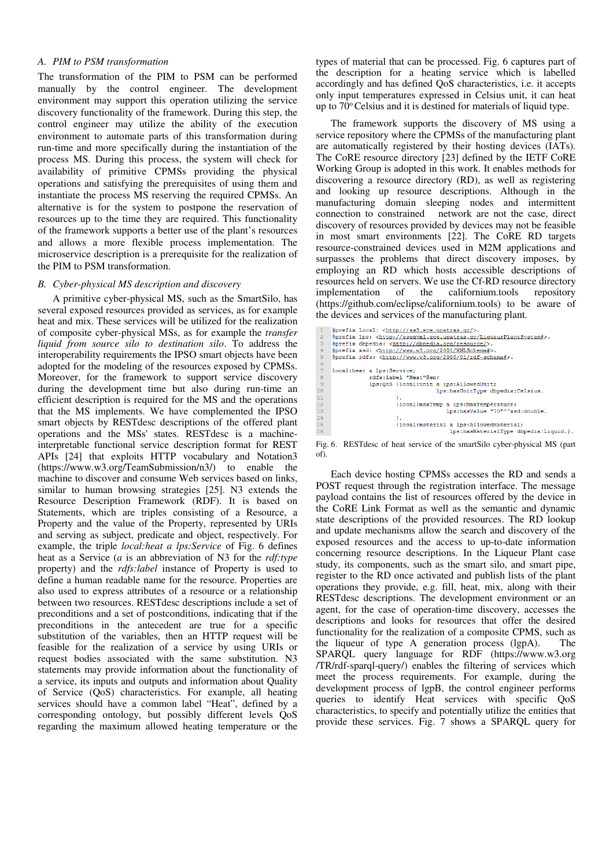# *A. PIM to PSM transformation*

The transformation of the PIM to PSM can be performed manually by the control engineer. The development environment may support this operation utilizing the service discovery functionality of the framework. During this step, the control engineer may utilize the ability of the execution environment to automate parts of this transformation during run-time and more specifically during the instantiation of the process MS. During this process, the system will check for availability of primitive CPMSs providing the physical operations and satisfying the prerequisites of using them and instantiate the process MS reserving the required CPMSs. An alternative is for the system to postpone the reservation of resources up to the time they are required. This functionality of the framework supports a better use of the plant's resources and allows a more flexible process implementation. The microservice description is a prerequisite for the realization of the PIM to PSM transformation.

#### *B. Cyber-physical MS description and discovery*

A primitive cyber-physical MS, such as the SmartSilo, has several exposed resources provided as services, as for example heat and mix. These services will be utilized for the realization of composite cyber-physical MSs, as for example the *transfer liquid from source silo to destination silo*. To address the interoperability requirements the IPSO smart objects have been adopted for the modeling of the resources exposed by CPMSs. Moreover, for the framework to support service discovery during the development time but also during run-time an efficient description is required for the MS and the operations that the MS implements. We have complemented the IPSO smart objects by RESTdesc descriptions of the offered plant operations and the MSs' states. RESTdesc is a machineinterpretable functional service description format for REST APIs [24] that exploits HTTP vocabulary and Notation3 (https://www.w3.org/TeamSubmission/n3/) to enable the machine to discover and consume Web services based on links, similar to human browsing strategies [25]. N3 extends the Resource Description Framework (RDF). It is based on Statements, which are triples consisting of a Resource, a Property and the value of the Property, represented by URIs and serving as subject, predicate and object, respectively. For example, the triple *local:heat a lps:Service* of Fig. 6 defines heat as a Service (*a* is an abbreviation of N3 for the *rdf:type* property) and the *rdfs:label* instance of Property is used to define a human readable name for the resource. Properties are also used to express attributes of a resource or a relationship between two resources. RESTdesc descriptions include a set of preconditions and a set of postconditions, indicating that if the preconditions in the antecedent are true for a specific substitution of the variables, then an HTTP request will be feasible for the realization of a service by using URIs or request bodies associated with the same substitution. N3 statements may provide information about the functionality of a service, its inputs and outputs and information about Quality of Service (QoS) characteristics. For example, all heating services should have a common label "Heat", defined by a corresponding ontology, but possibly different levels QoS regarding the maximum allowed heating temperature or the

types of material that can be processed. Fig. 6 captures part of the description for a heating service which is labelled accordingly and has defined QoS characteristics, i.e. it accepts only input temperatures expressed in Celsius unit, it can heat up to 70° Celsius and it is destined for materials of liquid type.

The framework supports the discovery of MS using a service repository where the CPMSs of the manufacturing plant are automatically registered by their hosting devices (IATs). The CoRE resource directory [23] defined by the IETF CoRE Working Group is adopted in this work. It enables methods for discovering a resource directory (RD), as well as registering and looking up resource descriptions. Although in the manufacturing domain sleeping nodes and intermittent connection to constrained network are not the case, direct discovery of resources provided by devices may not be feasible in most smart environments [22]. The CoRE RD targets resource-constrained devices used in M2M applications and surpasses the problems that direct discovery imposes, by employing an RD which hosts accessible descriptions of resources held on servers. We use the Cf-RD resource directory implementation of the californium.tools repository (https://github.com/eclipse/californium.tools) to be aware of the devices and services of the manufacturing plant.

```
@prefix local: <http://ss3.ece.upatras.qr/>.
@prefix local: <<u>http://ss3.ece.upatras.gr/</u>>.<br>@prefix lps: <http://sseavml.ece.upatras.gr/LiqueurPlantSystem#>.<br>@prefix dbpedia: <http://<u>dbpedia.org/resource/</u>>.<br>@prefix xsd: <http://www.w3.org/2001/XMLSchema#>.<br>@prefix 
 local: heat a lps: Service;
                    a ipotocivice,<br>rdfs:label "Heat"@en:
                   \overline{11};<br>{local:maxTemp a lps:MaxTemperature;<br>lps:hasValue "70"^^xsd:double.
                                  ,,<br>{local:material a lps:AllowedMaterial;<br>lps:hasMaterialType dbpedia:Liquid.}.
```
Fig. 6. RESTdesc of heat service of the smartSilo cyber-physical MS (part of).

Each device hosting CPMSs accesses the RD and sends a POST request through the registration interface. The message payload contains the list of resources offered by the device in the CoRE Link Format as well as the semantic and dynamic state descriptions of the provided resources. The RD lookup and update mechanisms allow the search and discovery of the exposed resources and the access to up-to-date information concerning resource descriptions. In the Liqueur Plant case study, its components, such as the smart silo, and smart pipe, register to the RD once activated and publish lists of the plant operations they provide, e.g. fill, heat, mix, along with their RESTdesc descriptions. The development environment or an agent, for the case of operation-time discovery, accesses the descriptions and looks for resources that offer the desired functionality for the realization of a composite CPMS, such as the liqueur of type A generation process (lgpA). The SPARQL query language for RDF (https://www.w3.org /TR/rdf-sparql-query/) enables the filtering of services which meet the process requirements. For example, during the development process of lgpB, the control engineer performs queries to identify Heat services with specific QoS characteristics, to specify and potentially utilize the entities that provide these services. Fig. 7 shows a SPARQL query for